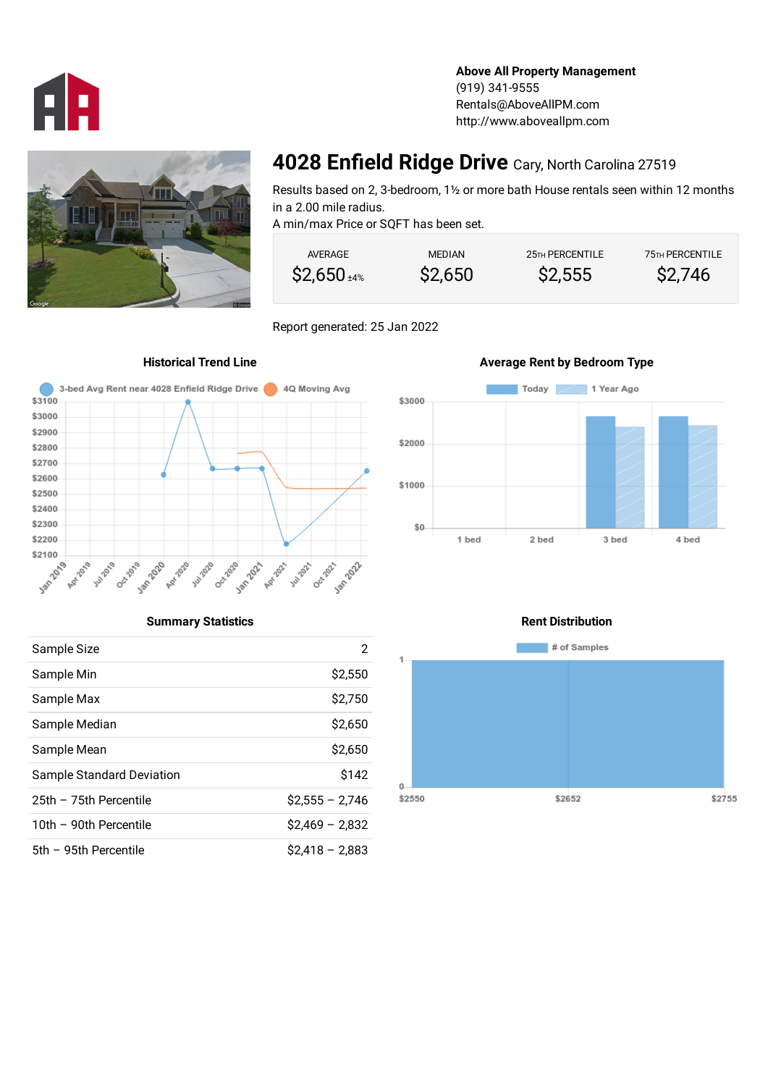

**Above All Property Management** (919) 341-9555 Rentals@AboveAllPM.com http://www.aboveallpm.com



## **4028 Enfield Ridge Drive** Cary, North Carolina 27519

Results based on 2, 3-bedroom, 1½ or more bath House rentals seen within 12 months in a 2.00 mile radius. A min/max Price or SQFT has been set.

| AVERAGE         | <b>MEDIAN</b> | 25 <sub>TH</sub> PERCENTILE | <b>75TH PERCENTILE</b> |
|-----------------|---------------|-----------------------------|------------------------|
| $$2,650_{44\%}$ | \$2,650       | \$2,555                     | \$2,746                |

Report generated: 25 Jan 2022





## **Historical Trend Line Average Rent by Bedroom Type**

## **Summary Statistics**

| Sample Size               | 2                |
|---------------------------|------------------|
| Sample Min                | \$2,550          |
| Sample Max                | \$2,750          |
| Sample Median             | \$2,650          |
| Sample Mean               | \$2,650          |
| Sample Standard Deviation | \$142            |
| 25th - 75th Percentile    | $$2.555 - 2.746$ |
| 10th - 90th Percentile    | $$2,469 - 2,832$ |
| 5th - 95th Percentile     | $$2,418 - 2,883$ |

### **Rent Distribution**

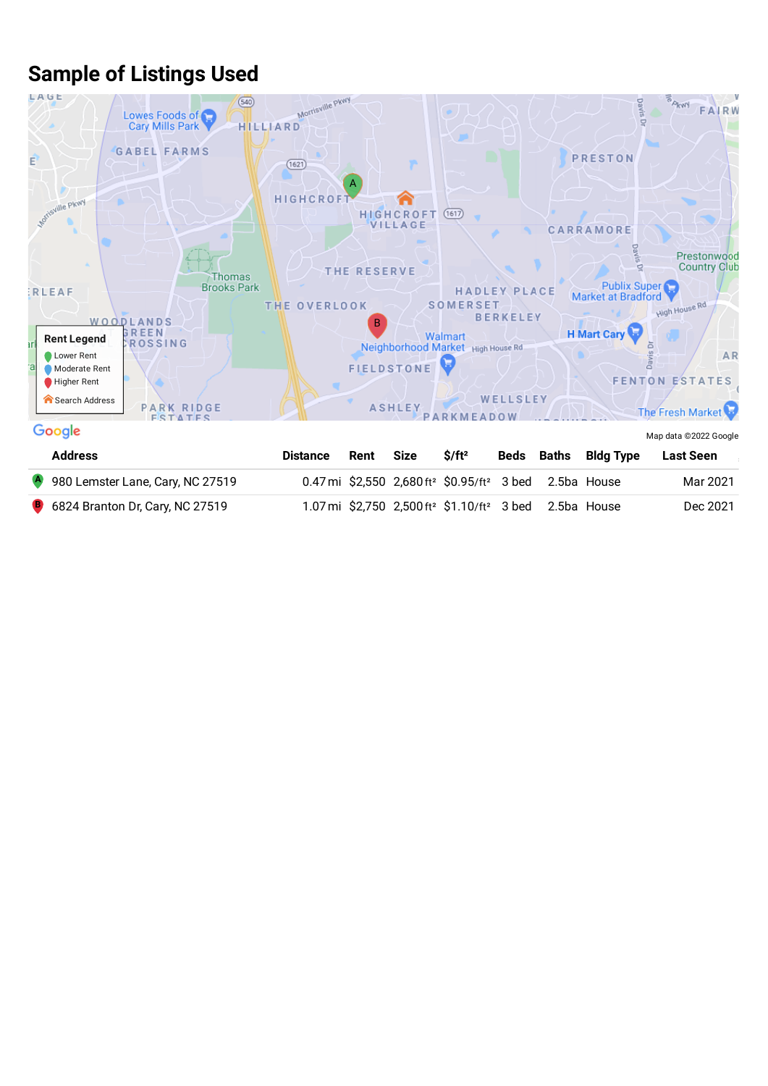# **Sample of Listings Used**



| <b>Address</b>                           | <b>Distance</b> | Rent | Size | $S/ft^2$                                                                         |  | Beds Baths Bldg Type | Last Seen |
|------------------------------------------|-----------------|------|------|----------------------------------------------------------------------------------|--|----------------------|-----------|
| 4 980 Lemster Lane, Cary, NC 27519       |                 |      |      | 0.47 mi \$2,550 $2,680$ ft <sup>2</sup> \$0.95/ft <sup>2</sup> 3 bed 2.5ba House |  |                      | Mar 2021  |
| <b>B</b> 6824 Branton Dr, Cary, NC 27519 |                 |      |      | 1.07 mi \$2,750 2,500 ft <sup>2</sup> \$1.10/ft <sup>2</sup> 3 bed 2.5ba House   |  |                      | Dec 2021  |